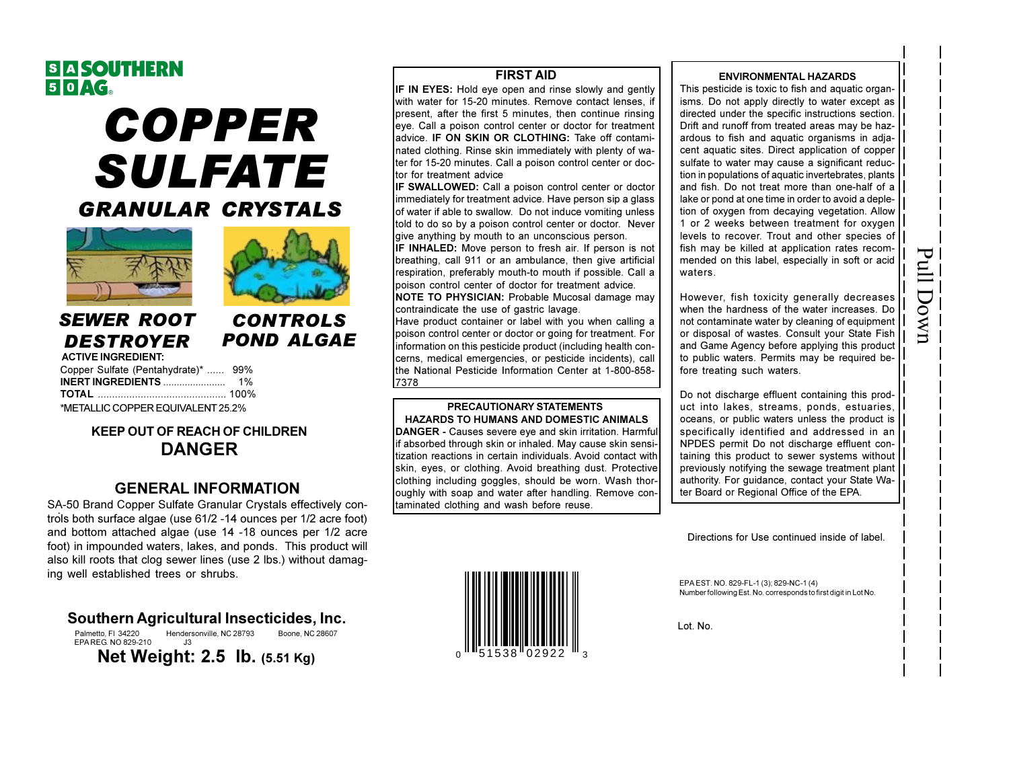# S A SOUTHERN<br>5 0 AG.

# **COPPER SULFATE GRANULAR CRYSTALS**





**CONTROLS** 

**POND ALGAE** 

## **SEWER ROOT DESTROYER**

| <b>ACTIVE INGREDIENT:</b>           |  |
|-------------------------------------|--|
| Copper Sulfate (Pentahydrate)*  99% |  |
|                                     |  |
|                                     |  |
| *METALLIC COPPER EQUIVALENT 25.2%   |  |

### **KEEP OUT OF REACH OF CHILDREN DANGER**

## **GENERAL INFORMATION**

SA-50 Brand Copper Sulfate Granular Crystals effectively controls both surface algae (use 61/2 -14 ounces per 1/2 acre foot) and bottom attached algae (use 14 -18 ounces per 1/2 acre foot) in impounded waters, lakes, and ponds. This product will also kill roots that clog sewer lines (use 2 lbs.) without damaging well established trees or shrubs.

#### Southern Agricultural Insecticides, Inc.

Palmetto FL 34220 Hendersonville, NC 28793 Boone, NC 28607 EPA REG NO 829-210 Net Weight: 2.5 lb. (5.51 Kg)

#### **FIRST AID**

IF IN EYES: Hold eye open and rinse slowly and gently with water for 15-20 minutes. Remove contact lenses, if Ipresent, after the first 5 minutes, then continue rinsing eye. Call a poison control center or doctor for treatment ladvice. IF ON SKIN OR CLOTHING: Take off contami-Inated clothing. Rinse skin immediately with plenty of wa-Iter for 15-20 minutes. Call a poison control center or doctor for treatment advice

IF SWALLOWED: Call a poison control center or doctor immediately for treatment advice. Have person sip a glass of water if able to swallow. Do not induce vomiting unless told to do so by a poison control center or doctor. Never give anything by mouth to an unconscious person.

IF INHALED: Move person to fresh air. If person is not breathing, call 911 or an ambulance, then give artificial respiration, preferably mouth-to mouth if possible. Call a Ipoison control center of doctor for treatment advice.

**INOTE TO PHYSICIAN: Probable Mucosal damage may** contraindicate the use of gastric lavage.

Have product container or label with you when calling a poison control center or doctor or going for treatment. For information on this pesticide product (including health concerns, medical emergencies, or pesticide incidents), call the National Pesticide Information Center at 1-800-858-7378

## **PRECAUTIONARY STATEMENTS**

**HAZARDS TO HUMANS AND DOMESTIC ANIMALS** DANGER - Causes severe eye and skin irritation. Harmful if absorbed through skin or inhaled. May cause skin sensitization reactions in certain individuals. Avoid contact with skin, eyes, or clothing. Avoid breathing dust. Protective clothing including goggles, should be worn. Wash thoroughly with soap and water after handling. Remove contaminated clothing and wash before reuse.



#### **ENVIRONMENTAL HAZARDS**

This pesticide is toxic to fish and aquatic organisms. Do not apply directly to water except as directed under the specific instructions section. Drift and runoff from treated areas may be hazardous to fish and aquatic organisms in adjacent aquatic sites. Direct application of copper sulfate to water may cause a significant reduction in populations of aquatic invertebrates, plants and fish. Do not treat more than one-half of a lake or pond at one time in order to avoid a depletion of oxygen from decaying vegetation. Allow 1 or 2 weeks between treatment for oxygen levels to recover. Trout and other species of fish may be killed at application rates recommended on this label, especially in soft or acid waters.

However, fish toxicity generally decreases when the hardness of the water increases. Do not contaminate water by cleaning of equipment or disposal of wastes. Consult your State Fish and Game Agency before applying this product to public waters. Permits may be required before treating such waters.

Pull Down

Do not discharge effluent containing this product into lakes, streams, ponds, estuaries, oceans, or public waters unless the product is specifically identified and addressed in an NPDES permit Do not discharge effluent containing this product to sewer systems without previously notifying the sewage treatment plant authority. For quidance, contact your State Water Board or Regional Office of the EPA.

Directions for Use continued inside of label.

EPAEST. NO. 829-FL-1 (3); 829-NC-1 (4) Number following Est. No. corresponds to first digit in Lot No.

Lot. No.